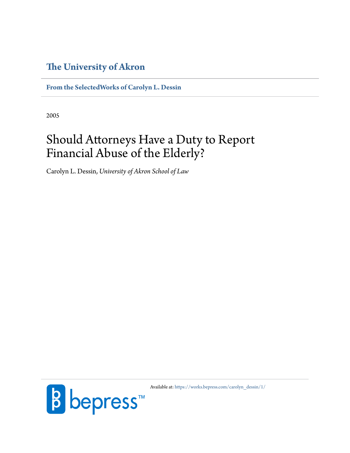## **[The University of Akron](http://www.uakron.edu/)**

**[From the SelectedWorks of Carolyn L. Dessin](https://works.bepress.com/carolyn_dessin/)**

2005

# Should Attorneys Have a Duty to Report Financial Abuse of the Elderly?

Carolyn L. Dessin, *University of Akron School of Law*



Available at: [https://works.bepress.com/carolyn\\_dessin/1/](https://works.bepress.com/carolyn_dessin/1/)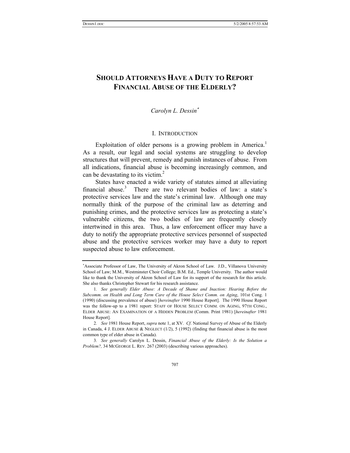## **SHOULD ATTORNEYS HAVE A DUTY TO REPORT FINANCIAL ABUSE OF THE ELDERLY?**

#### *Carolyn L. Dessin*<sup>∗</sup>

#### I. INTRODUCTION

Exploitation of older persons is a growing problem in America.<sup>1</sup> As a result, our legal and social systems are struggling to develop structures that will prevent, remedy and punish instances of abuse. From all indications, financial abuse is becoming increasingly common, and can be devastating to its victim.<sup>2</sup>

States have enacted a wide variety of statutes aimed at alleviating financial abuse.<sup>3</sup> There are two relevant bodies of law: a state's protective services law and the state's criminal law. Although one may normally think of the purpose of the criminal law as deterring and punishing crimes, and the protective services law as protecting a state's vulnerable citizens, the two bodies of law are frequently closely intertwined in this area. Thus, a law enforcement officer may have a duty to notify the appropriate protective services personnel of suspected abuse and the protective services worker may have a duty to report suspected abuse to law enforcement.

<sup>3</sup>*. See generally* Carolyn L. Dessin, *Financial Abuse of the Elderly: Is the Solution a Problem?,* 34 MCGEORGE L. REV. 267 (2003) (describing various approaches).



<sup>∗</sup> Associate Professor of Law, The University of Akron School of Law. J.D., Villanova University School of Law; M.M., Westminster Choir College; B.M. Ed., Temple University. The author would like to thank the University of Akron School of Law for its support of the research for this article. She also thanks Christopher Stewart for his research assistance.

<sup>1</sup>*. See generally Elder Abuse: A Decade of Shame and Inaction: Hearing Before the Subcomm. on Health and Long Term Care of the House Select Comm. on Aging*, 101st Cong. 1 (1990) (discussing prevalence of abuse) [*hereinafter* 1990 House Report]. The 1990 House Report was the follow-up to a 1981 report: STAFF OF HOUSE SELECT COMM. ON AGING, 97TH CONG., ELDER ABUSE: AN EXAMINATION OF A HIDDEN PROBLEM (Comm. Print 1981) [*hereinafter* 1981 House Report].

<sup>2</sup>*. See* 1981 House Report, *supra* note 1, at XV. *Cf*. National Survey of Abuse of the Elderly in Canada, 4 J. ELDER ABUSE & NEGLECT  $(1/2)$ , 5  $(1992)$  (finding that financial abuse is the most common type of elder abuse in Canada).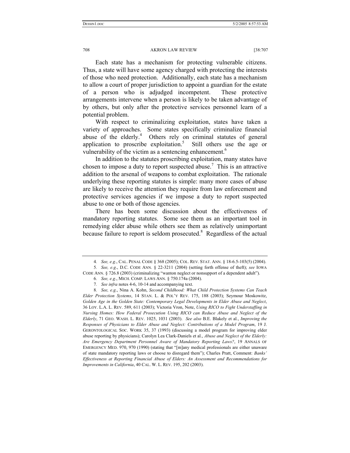Each state has a mechanism for protecting vulnerable citizens. Thus, a state will have some agency charged with protecting the interests of those who need protection. Additionally, each state has a mechanism to allow a court of proper jurisdiction to appoint a guardian for the estate of a person who is adjudged incompetent. These protective arrangements intervene when a person is likely to be taken advantage of by others, but only after the protective services personnel learn of a potential problem.

With respect to criminalizing exploitation, states have taken a variety of approaches. Some states specifically criminalize financial abuse of the elderly.<sup>4</sup> Others rely on criminal statutes of general application to proscribe exploitation.<sup>5</sup> Still others use the age or vulnerability of the victim as a sentencing enhancement.<sup>6</sup>

In addition to the statutes proscribing exploitation, many states have chosen to impose a duty to report suspected abuse.<sup>7</sup> This is an attractive addition to the arsenal of weapons to combat exploitation. The rationale underlying these reporting statutes is simple: many more cases of abuse are likely to receive the attention they require from law enforcement and protective services agencies if we impose a duty to report suspected abuse to one or both of those agencies.

There has been some discussion about the effectiveness of mandatory reporting statutes. Some see them as an important tool in remedying elder abuse while others see them as relatively unimportant because failure to report is seldom prosecuted.<sup>8</sup> Regardless of the actual

<sup>4</sup>*. See, e.g*., CAL. PENAL CODE § 368 (2005); COL. REV. STAT. ANN. § 18-6.5-103(5) (2004).

<sup>5</sup>*. See, e.g*., D.C. CODE ANN. § 22-3211 (2004) (setting forth offense of theft); *see* IOWA CODE ANN. § 726.8 (2003) (criminalizing "wanton neglect or nonsupport of a dependent adult").

<sup>6</sup>*. See, e.g*., MICH. COMP. LAWS ANN. § 750.174a (2004).

<sup>7</sup>*. See infra* notes 4-6, 10-14 and accompanying text.

<sup>8</sup>*. See, e.g*., Nina A. Kohn, *Second Childhood: What Child Protection Systems Can Teach Elder Protection Systems*, 14 STAN. L. & POL'Y REV. 175, 188 (2003); Seymour Moskowitz, *Golden Age in the Golden State: Contemporary Legal Developments in Elder Abuse and Neglect*, 36 LOY. L.A. L. REV. 589, 611 (2003); Victoria Vron, Note, *Using RICO to Fight Understaffing in Nursing Homes: How Federal Prosecution Using RICO can Reduce Abuse and Neglect of the Elderly*, 71 GEO. WASH. L. REV. 1025, 1031 (2003). *See also* B.E. Blakely et al., *Improving the Responses of Physicians to Elder Abuse and Neglect: Contributions of a Model Program*, 19 J. GERONTOLOGICAL SOC. WORK 35, 37 (1993) (discussing a model program for improving elder abuse reporting by physicians); Carolyn Lea Clark-Daniels et al., *Abuse and Neglect of the Elderly: Are Emergency Department Personnel Aware of Mandatory Reporting Laws?*, 19 ANNALS OF EMERGENCY MED. 970, 970 (1990) (stating that "[m]any medical professionals are either unaware of state mandatory reporting laws or choose to disregard them"); Charles Pratt, Comment: *Banks' Effectiveness at Reporting Financial Abuse of Elders: An Assessment and Recommendations for Improvements in California*, 40 CAL. W. L. REV. 195, 202 (2003).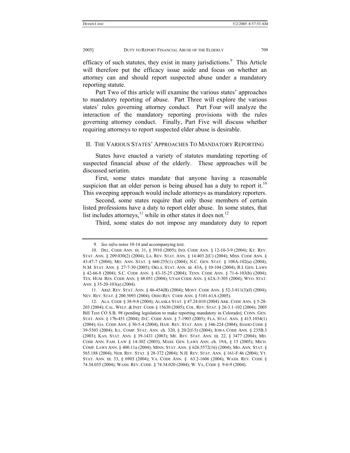efficacy of such statutes, they exist in many jurisdictions.<sup>9</sup> This Article will therefore put the efficacy issue aside and focus on whether an attorney can and should report suspected abuse under a mandatory reporting statute.

Part Two of this article will examine the various states' approaches to mandatory reporting of abuse. Part Three will explore the various states' rules governing attorney conduct. Part Four will analyze the interaction of the mandatory reporting provisions with the rules governing attorney conduct. Finally, Part Five will discuss whether requiring attorneys to report suspected elder abuse is desirable.

#### II. THE VARIOUS STATES' APPROACHES TO MANDATORY REPORTING

States have enacted a variety of statutes mandating reporting of suspected financial abuse of the elderly. These approaches will be discussed seriatim.

First, some states mandate that anyone having a reasonable suspicion that an older person is being abused has a duty to report it.<sup>10</sup> This sweeping approach would include attorneys as mandatory reporters.

Second, some states require that only those members of certain listed professions have a duty to report elder abuse. In some states, that list includes attorneys, $^{11}$  while in other states it does not.<sup>12</sup>

Third, some states do not impose any mandatory duty to report

<sup>9</sup>*. See infra* notes 10-14 and accompanying text.

 <sup>10.</sup> DEL. CODE ANN. tit. 31, § 3910 (2005); IND. CODE ANN. § 12-10-3-9 (2004); KY. REV. STAT. ANN. § 209.030(2) (2004); LA. REV. STAT. ANN. § 14:403.2(C) (2004); MISS. CODE ANN. § 43-47-7 (2004); MO. ANN. STAT. § 660.255(1) (2004); N.C. GEN. STAT. § 108A-102(a) (2004); N.M. STAT. ANN. § 27-7-30 (2005); OKLA. STAT. ANN. tit. 43A, § 10-104 (2004); R.I. GEN. LAWS § 42-66-8 (2004); S.C. CODE ANN. § 43-35-25 (2004); TENN. CODE ANN. § 71-6-103(b) (2004); TEX. HUM. RES. CODE ANN. § 48.051 (2004); UTAH CODE ANN. § 62A-3-305 (2004); WYO. STAT. ANN. § 35-20-103(a) (2004).

 <sup>11.</sup> ARIZ. REV. STAT. ANN. § 46-454(B) (2004); MONT. CODE ANN. § 52-3-811(3)(f) (2004); NEV. REV. STAT. § 200.5093 (2004); OHIO REV. CODE ANN. § 5101.61A (2005).

 <sup>12.</sup> ALA. CODE § 38-9-8 (2004); ALASKA STAT. § 47.24.010 (2004) ARK. CODE ANN. § 5-28- 203 (2004); CAL. WELF. & INST. CODE § 15630 (2005); COL. REV. STAT. § 26-3.1-102 (2004); 2005 Bill Text CO S.B. 98 (pending legislation to make reporting mandatory in Colorado); CONN. GEN. STAT. ANN. § 17b-451 (2004); D.C. CODE ANN. § 7-1903 (2005); FLA. STAT. ANN. § 415.1034(1) (2004); GA. CODE ANN. § 30-5-4 (2004); HAW. REV. STAT. ANN. § 346-224 (2004); IDAHO CODE § 39-5303 (2004); ILL. COMP. STAT. ANN. ch. 320, § 20/2(f-5) (2004); IOWA CODE ANN. § 235B.3 (2003); KAN. STAT. ANN. § 39-1431 (2003); ME. REV. STAT. ANN. tit. 22, § 3477 (2004); MD. CODE ANN. FAM. LAW § 14-302 (2003); MASS. GEN. LAWS ANN. ch. 19A, § 15 (2005); MICH. COMP. LAWS ANN. § 400.11a (2004); MINN. STAT. ANN. § 626.5572(16) (2004); MO. ANN. STAT. § 565.188 (2004); NEB. REV. STAT. § 28-372 (2004); N.H. REV. STAT. ANN. § 161-F:46 (2004); VT. STAT. ANN. tit. 33, § 6903 (2004); VA. CODE ANN. § 63.2-1606 (2004); WASH. REV. CODE § 74.34.035 (2004); WASH. REV. CODE. § 74.34.020 (2004); W. VA. CODE § 9-6-9 (2004).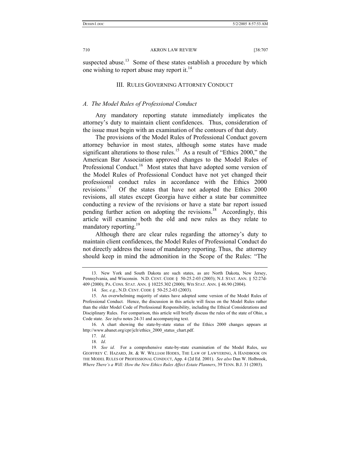suspected abuse.<sup>13</sup> Some of these states establish a procedure by which one wishing to report abuse may report it.<sup>14</sup>

#### III. RULES GOVERNING ATTORNEY CONDUCT

#### *A. The Model Rules of Professional Conduct*

Any mandatory reporting statute immediately implicates the attorney's duty to maintain client confidences. Thus, consideration of the issue must begin with an examination of the contours of that duty.

The provisions of the Model Rules of Professional Conduct govern attorney behavior in most states, although some states have made significant alterations to those rules.<sup>15</sup> As a result of "Ethics 2000," the American Bar Association approved changes to the Model Rules of Professional Conduct.<sup>16</sup> Most states that have adopted some version of the Model Rules of Professional Conduct have not yet changed their professional conduct rules in accordance with the Ethics 2000 revisions.<sup>17</sup> Of the states that have not adopted the Ethics 2000 revisions, all states except Georgia have either a state bar committee conducting a review of the revisions or have a state bar report issued pending further action on adopting the revisions.<sup>18</sup> Accordingly, this article will examine both the old and new rules as they relate to mandatory reporting.<sup>19</sup>

Although there are clear rules regarding the attorney's duty to maintain client confidences, the Model Rules of Professional Conduct do not directly address the issue of mandatory reporting. Thus, the attorney should keep in mind the admonition in the Scope of the Rules: "The

 <sup>13.</sup> New York and South Dakota are such states, as are North Dakota, New Jersey, Pennsylvania, and Wisconsin. N.D. CENT. CODE § 50-25.2-03 (2003); N.J. STAT. ANN. § 52:27d-409 (2000); PA. CONS. STAT. ANN. § 10225.302 (2000); WIS STAT. ANN. § 46.90 (2004).

<sup>14</sup>*. See, e.g*., N.D. CENT. CODE § 50-25.2-03 (2003).

 <sup>15.</sup> An overwhelming majority of states have adopted some version of the Model Rules of Professional Conduct. Hence, the discussion in this article will focus on the Model Rules rather than the older Model Code of Professional Responsibility, including the Ethical Considerations and Disciplinary Rules. For comparison, this article will briefly discuss the rules of the state of Ohio, a Code state. *See infra* notes 24-31 and accompanying text.

 <sup>16.</sup> A chart showing the state-by-state status of the Ethics 2000 changes appears at http://www.abanet.org/cpr/jclr/ethics\_2000\_status\_chart.pdf.

<sup>17</sup>*. Id*.

<sup>18</sup>*. Id*.

<sup>19</sup>*. See id*. For a comprehensive state-by-state examination of the Model Rules, see GEOFFREY C. HAZARD, JR. & W. WILLIAM HODES, THE LAW OF LAWYERING, A HANDBOOK ON THE MODEL RULES OF PROFESSIONAL CONDUCT, App. 4 (2d Ed. 2001). *See also* Dan W. Holbrook, *Where There's a Will: How the New Ethics Rules Affect Estate Planners*, 39 TENN. B.J. 31 (2003).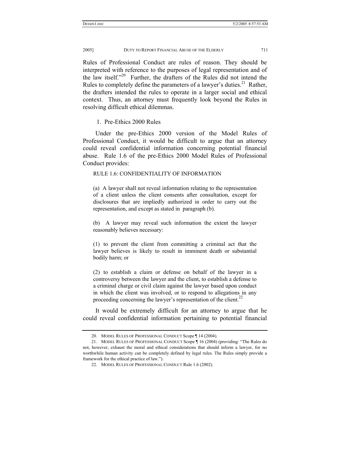Rules of Professional Conduct are rules of reason. They should be interpreted with reference to the purposes of legal representation and of the law itself."20 Further, the drafters of the Rules did not intend the Rules to completely define the parameters of a lawyer's duties.<sup>21</sup> Rather, the drafters intended the rules to operate in a larger social and ethical context. Thus, an attorney must frequently look beyond the Rules in resolving difficult ethical dilemmas.

#### 1. Pre-Ethics 2000 Rules

Under the pre-Ethics 2000 version of the Model Rules of Professional Conduct, it would be difficult to argue that an attorney could reveal confidential information concerning potential financial abuse. Rule 1.6 of the pre-Ethics 2000 Model Rules of Professional Conduct provides:

#### RULE 1.6: CONFIDENTIALITY OF INFORMATION

(a) A lawyer shall not reveal information relating to the representation of a client unless the client consents after consultation, except for disclosures that are impliedly authorized in order to carry out the representation, and except as stated in paragraph (b).

(b) A lawyer may reveal such information the extent the lawyer reasonably believes necessary:

(1) to prevent the client from committing a criminal act that the lawyer believes is likely to result in imminent death or substantial bodily harm; or

(2) to establish a claim or defense on behalf of the lawyer in a controversy between the lawyer and the client, to establish a defense to a criminal charge or civil claim against the lawyer based upon conduct in which the client was involved, or to respond to allegations in any proceeding concerning the lawyer's representation of the client.<sup>2</sup>

It would be extremely difficult for an attorney to argue that he could reveal confidential information pertaining to potential financial

<sup>20.</sup> MODEL RULES OF PROFESSIONAL CONDUCT Scope | 14 (2004).

 <sup>21.</sup> MODEL RULES OF PROFESSIONAL CONDUCT Scope ¶ 16 (2004) (providing: "The Rules do not, however, exhaust the moral and ethical considerations that should inform a lawyer, for no worthwhile human activity can be completely defined by legal rules. The Rules simply provide a framework for the ethical practice of law.").

 <sup>22.</sup> MODEL RULES OF PROFESSIONAL CONDUCT Rule 1.6 (2002).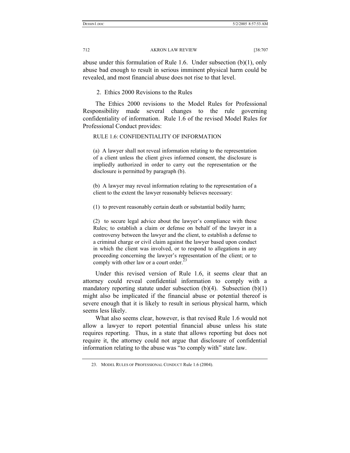abuse under this formulation of Rule 1.6. Under subsection (b)(1), only abuse bad enough to result in serious imminent physical harm could be revealed, and most financial abuse does not rise to that level.

2. Ethics 2000 Revisions to the Rules

The Ethics 2000 revisions to the Model Rules for Professional Responsibility made several changes to the rule governing confidentiality of information. Rule 1.6 of the revised Model Rules for Professional Conduct provides:

#### RULE 1.6: CONFIDENTIALITY OF INFORMATION

(a) A lawyer shall not reveal information relating to the representation of a client unless the client gives informed consent, the disclosure is impliedly authorized in order to carry out the representation or the disclosure is permitted by paragraph (b).

(b) A lawyer may reveal information relating to the representation of a client to the extent the lawyer reasonably believes necessary:

(1) to prevent reasonably certain death or substantial bodily harm;

(2) to secure legal advice about the lawyer's compliance with these Rules; to establish a claim or defense on behalf of the lawyer in a controversy between the lawyer and the client, to establish a defense to a criminal charge or civil claim against the lawyer based upon conduct in which the client was involved, or to respond to allegations in any proceeding concerning the lawyer's representation of the client; or to comply with other law or a court order.<sup>2</sup>

Under this revised version of Rule 1.6, it seems clear that an attorney could reveal confidential information to comply with a mandatory reporting statute under subsection  $(b)(4)$ . Subsection  $(b)(1)$ might also be implicated if the financial abuse or potential thereof is severe enough that it is likely to result in serious physical harm, which seems less likely.

What also seems clear, however, is that revised Rule 1.6 would not allow a lawyer to report potential financial abuse unless his state requires reporting. Thus, in a state that allows reporting but does not require it, the attorney could not argue that disclosure of confidential information relating to the abuse was "to comply with" state law.

 <sup>23.</sup> MODEL RULES OF PROFESSIONAL CONDUCT Rule 1.6 (2004).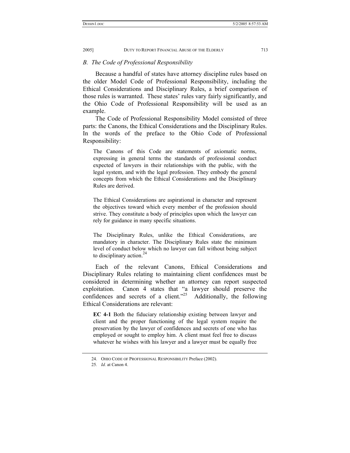### *B. The Code of Professional Responsibility*

Because a handful of states have attorney discipline rules based on the older Model Code of Professional Responsibility, including the Ethical Considerations and Disciplinary Rules, a brief comparison of those rules is warranted. These states' rules vary fairly significantly, and the Ohio Code of Professional Responsibility will be used as an example.

The Code of Professional Responsibility Model consisted of three parts: the Canons, the Ethical Considerations and the Disciplinary Rules. In the words of the preface to the Ohio Code of Professional Responsibility:

The Canons of this Code are statements of axiomatic norms, expressing in general terms the standards of professional conduct expected of lawyers in their relationships with the public, with the legal system, and with the legal profession. They embody the general concepts from which the Ethical Considerations and the Disciplinary Rules are derived.

The Ethical Considerations are aspirational in character and represent the objectives toward which every member of the profession should strive. They constitute a body of principles upon which the lawyer can rely for guidance in many specific situations.

The Disciplinary Rules, unlike the Ethical Considerations, are mandatory in character. The Disciplinary Rules state the minimum level of conduct below which no lawyer can fall without being subject to disciplinary action. $24$ 

Each of the relevant Canons, Ethical Considerations and Disciplinary Rules relating to maintaining client confidences must be considered in determining whether an attorney can report suspected exploitation. Canon 4 states that "a lawyer should preserve the confidences and secrets of a client."<sup>25</sup> Additionally, the following Ethical Considerations are relevant:

**EC 4-1** Both the fiduciary relationship existing between lawyer and client and the proper functioning of the legal system require the preservation by the lawyer of confidences and secrets of one who has employed or sought to employ him. A client must feel free to discuss whatever he wishes with his lawyer and a lawyer must be equally free

 <sup>24.</sup> OHIO CODE OF PROFESSIONAL RESPONSIBILITY Preface (2002).

<sup>25</sup>*. Id.* at Canon 4.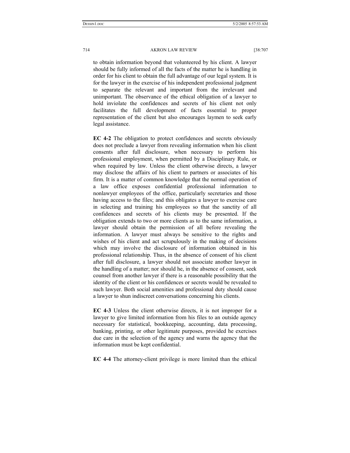to obtain information beyond that volunteered by his client. A lawyer should be fully informed of all the facts of the matter he is handling in order for his client to obtain the full advantage of our legal system. It is for the lawyer in the exercise of his independent professional judgment to separate the relevant and important from the irrelevant and unimportant. The observance of the ethical obligation of a lawyer to hold inviolate the confidences and secrets of his client not only facilitates the full development of facts essential to proper representation of the client but also encourages laymen to seek early legal assistance.

**EC 4-2** The obligation to protect confidences and secrets obviously does not preclude a lawyer from revealing information when his client consents after full disclosure, when necessary to perform his professional employment, when permitted by a Disciplinary Rule, or when required by law. Unless the client otherwise directs, a lawyer may disclose the affairs of his client to partners or associates of his firm. It is a matter of common knowledge that the normal operation of a law office exposes confidential professional information to nonlawyer employees of the office, particularly secretaries and those having access to the files; and this obligates a lawyer to exercise care in selecting and training his employees so that the sanctity of all confidences and secrets of his clients may be presented. If the obligation extends to two or more clients as to the same information, a lawyer should obtain the permission of all before revealing the information. A lawyer must always be sensitive to the rights and wishes of his client and act scrupulously in the making of decisions which may involve the disclosure of information obtained in his professional relationship. Thus, in the absence of consent of his client after full disclosure, a lawyer should not associate another lawyer in the handling of a matter; nor should he, in the absence of consent, seek counsel from another lawyer if there is a reasonable possibility that the identity of the client or his confidences or secrets would be revealed to such lawyer. Both social amenities and professional duty should cause a lawyer to shun indiscreet conversations concerning his clients.

**EC 4-3** Unless the client otherwise directs, it is not improper for a lawyer to give limited information from his files to an outside agency necessary for statistical, bookkeeping, accounting, data processing, banking, printing, or other legitimate purposes, provided he exercises due care in the selection of the agency and warns the agency that the information must be kept confidential.

**EC 4-4** The attorney-client privilege is more limited than the ethical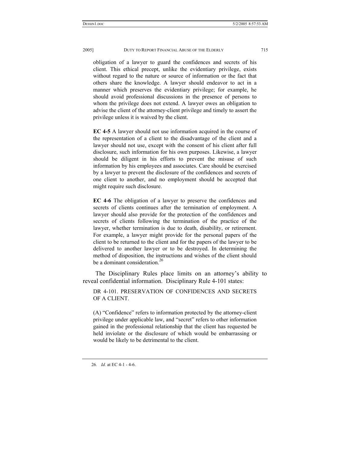obligation of a lawyer to guard the confidences and secrets of his client. This ethical precept, unlike the evidentiary privilege, exists without regard to the nature or source of information or the fact that others share the knowledge. A lawyer should endeavor to act in a manner which preserves the evidentiary privilege; for example, he should avoid professional discussions in the presence of persons to whom the privilege does not extend. A lawyer owes an obligation to advise the client of the attorney-client privilege and timely to assert the privilege unless it is waived by the client.

**EC 4-5** A lawyer should not use information acquired in the course of the representation of a client to the disadvantage of the client and a lawyer should not use, except with the consent of his client after full disclosure, such information for his own purposes. Likewise, a lawyer should be diligent in his efforts to prevent the misuse of such information by his employees and associates. Care should be exercised by a lawyer to prevent the disclosure of the confidences and secrets of one client to another, and no employment should be accepted that might require such disclosure.

**EC 4-6** The obligation of a lawyer to preserve the confidences and secrets of clients continues after the termination of employment. A lawyer should also provide for the protection of the confidences and secrets of clients following the termination of the practice of the lawyer, whether termination is due to death, disability, or retirement. For example, a lawyer might provide for the personal papers of the client to be returned to the client and for the papers of the lawyer to be delivered to another lawyer or to be destroyed. In determining the method of disposition, the instructions and wishes of the client should be a dominant consideration.<sup>26</sup>

The Disciplinary Rules place limits on an attorney's ability to reveal confidential information. Disciplinary Rule 4-101 states:

DR 4-101. PRESERVATION OF CONFIDENCES AND SECRETS OF A CLIENT.

(A) "Confidence" refers to information protected by the attorney-client privilege under applicable law, and "secret" refers to other information gained in the professional relationship that the client has requested be held inviolate or the disclosure of which would be embarrassing or would be likely to be detrimental to the client.

<sup>26</sup>*. Id.* at EC 4-1 - 4-6.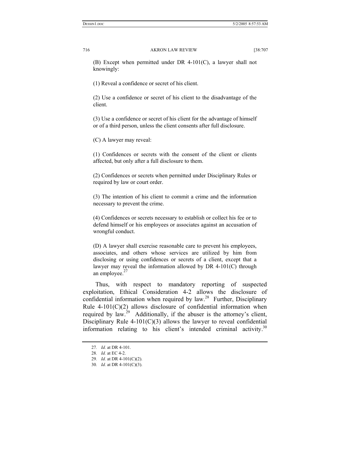(B) Except when permitted under DR 4-101(C), a lawyer shall not knowingly:

(1) Reveal a confidence or secret of his client.

(2) Use a confidence or secret of his client to the disadvantage of the client.

(3) Use a confidence or secret of his client for the advantage of himself or of a third person, unless the client consents after full disclosure.

(C) A lawyer may reveal:

(1) Confidences or secrets with the consent of the client or clients affected, but only after a full disclosure to them.

(2) Confidences or secrets when permitted under Disciplinary Rules or required by law or court order.

(3) The intention of his client to commit a crime and the information necessary to prevent the crime.

(4) Confidences or secrets necessary to establish or collect his fee or to defend himself or his employees or associates against an accusation of wrongful conduct.

(D) A lawyer shall exercise reasonable care to prevent his employees, associates, and others whose services are utilized by him from disclosing or using confidences or secrets of a client, except that a lawyer may reveal the information allowed by DR 4-101(C) through an employee. $27$ 

Thus, with respect to mandatory reporting of suspected exploitation, Ethical Consideration 4-2 allows the disclosure of confidential information when required by law.<sup>28</sup> Further, Disciplinary Rule  $4-101(C)(2)$  allows disclosure of confidential information when required by law.<sup>29</sup> Additionally, if the abuser is the attorney's client, Disciplinary Rule  $4-101(C)(3)$  allows the lawyer to reveal confidential information relating to his client's intended criminal activity.<sup>30</sup>

<sup>27</sup>*. Id.* at DR 4-101.

<sup>28</sup>*. Id.* at EC 4-2.

<sup>29</sup>*. Id.* at DR 4-101(C)(2).

<sup>30</sup>*. Id.* at DR 4-101(C)(3).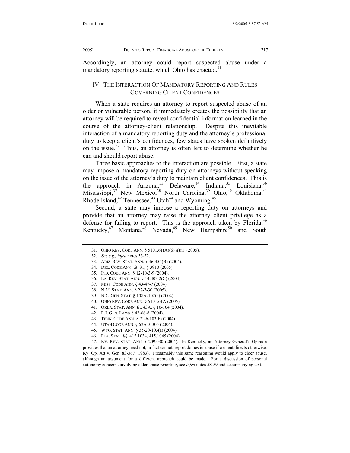Accordingly, an attorney could report suspected abuse under a mandatory reporting statute, which Ohio has enacted.<sup>31</sup>

#### IV. THE INTERACTION OF MANDATORY REPORTING AND RULES GOVERNING CLIENT CONFIDENCES

When a state requires an attorney to report suspected abuse of an older or vulnerable person, it immediately creates the possibility that an attorney will be required to reveal confidential information learned in the course of the attorney-client relationship. Despite this inevitable interaction of a mandatory reporting duty and the attorney's professional duty to keep a client's confidences, few states have spoken definitively on the issue.<sup>32</sup> Thus, an attorney is often left to determine whether he can and should report abuse.

Three basic approaches to the interaction are possible. First, a state may impose a mandatory reporting duty on attorneys without speaking on the issue of the attorney's duty to maintain client confidences. This is the approach in Arizona, <sup>33</sup> Delaware, <sup>34</sup> Indiana, <sup>35</sup> Louisiana, <sup>36</sup> Mississippi,<sup>37</sup> New Mexico,<sup>38</sup> North Carolina,<sup>39</sup> Ohio,<sup>40</sup> Oklahoma,<sup>41</sup> Rhode Island, $42$  Tennessee, $43$  Utah $44$  and Wyoming. $45$ 

Second, a state may impose a reporting duty on attorneys and provide that an attorney may raise the attorney client privilege as a defense for failing to report. This is the approach taken by Florida,  $46$ Kentucky,<sup>47</sup> Montana,<sup>48</sup> Nevada,<sup>49</sup> New Hampshire<sup>50</sup> and South

- 45. WYO. STAT. ANN. § 35-20-103(a) (2004).
- 

 47. KY. REV. STAT. ANN. § 209.030 (2004). In Kentucky, an Attorney General's Opinion provides that an attorney need not, in fact cannot, report domestic abuse if a client directs otherwise. Ky. Op. Att'y. Gen. 83-367 (1983). Presumably this same reasoning would apply to elder abuse, although an argument for a different approach could be made. For a discussion of personal autonomy concerns involving elder abuse reporting, see *infra* notes 58-59 and accompanying text.

 <sup>31.</sup> OHIO REV. CODE ANN. § 5101.61(A)(6)(g)(ii) (2005).

<sup>32</sup>*. See e.g., infra* notes 33-52.

 <sup>33.</sup> ARIZ. REV. STAT. ANN. § 46-454(B) (2004).

 <sup>34.</sup> DEL. CODE ANN. tit. 31, § 3910 (2005).

 <sup>35.</sup> IND. CODE ANN. § 12-10-3-9 (2004).

 <sup>36.</sup> LA. REV. STAT. ANN. § 14:403.2(C) (2004).

 <sup>37.</sup> MISS. CODE ANN. § 43-47-7 (2004).

 <sup>38.</sup> N.M. STAT. ANN. § 27-7-30 (2005).

 <sup>39.</sup> N.C. GEN. STAT. § 108A-102(a) (2004).

 <sup>40.</sup> OHIO REV. CODE ANN. § 5101.61A (2005).

 <sup>41.</sup> OKLA. STAT. ANN. tit. 43A, § 10-104 (2004). 42. R.I. GEN. LAWS § 42-66-8 (2004).

 <sup>43.</sup> TENN. CODE ANN. § 71-6-103(b) (2004).

 <sup>44.</sup> UTAH CODE ANN. § 62A-3-305 (2004).

 <sup>46.</sup> FLA. STAT. §§ 415.1034, 415.1045 (2004).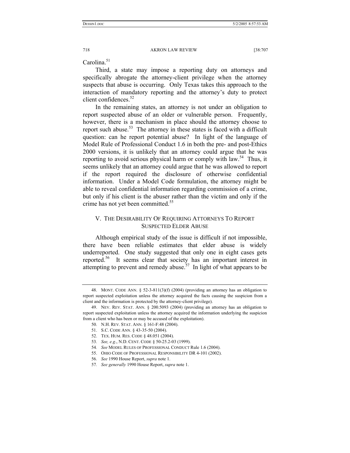Carolina.<sup>51</sup>

Third, a state may impose a reporting duty on attorneys and specifically abrogate the attorney-client privilege when the attorney suspects that abuse is occurring. Only Texas takes this approach to the interaction of mandatory reporting and the attorney's duty to protect client confidences. $52$ 

In the remaining states, an attorney is not under an obligation to report suspected abuse of an older or vulnerable person. Frequently, however, there is a mechanism in place should the attorney choose to report such abuse. $53$  The attorney in these states is faced with a difficult question: can he report potential abuse? In light of the language of Model Rule of Professional Conduct 1.6 in both the pre- and post-Ethics 2000 versions, it is unlikely that an attorney could argue that he was reporting to avoid serious physical harm or comply with law.<sup>54</sup> Thus, it seems unlikely that an attorney could argue that he was allowed to report if the report required the disclosure of otherwise confidential information. Under a Model Code formulation, the attorney might be able to reveal confidential information regarding commission of a crime, but only if his client is the abuser rather than the victim and only if the crime has not yet been committed.<sup>55</sup>

#### V. THE DESIRABILITY OF REQUIRING ATTORNEYS TO REPORT SUSPECTED ELDER ABUSE

Although empirical study of the issue is difficult if not impossible, there have been reliable estimates that elder abuse is widely underreported. One study suggested that only one in eight cases gets reported.<sup>56</sup> It seems clear that society has an important interest in attempting to prevent and remedy abuse.<sup>57</sup> In light of what appears to be

 <sup>48.</sup> MONT. CODE ANN. § 52-3-811(3)(f) (2004) (providing an attorney has an obligation to report suspected exploitation unless the attorney acquired the facts causing the suspicion from a client and the information is protected by the attorney-client privilege).

 <sup>49.</sup> NEV. REV. STAT. ANN. § 200.5093 (2004) (providing an attorney has an obligation to report suspected exploitation unless the attorney acquired the information underlying the suspicion from a client who has been or may be accused of the exploitation).

 <sup>50.</sup> N.H. REV. STAT. ANN. § 161-F:48 (2004).

 <sup>51.</sup> S.C. CODE ANN. § 43-35-50 (2004).

 <sup>52.</sup> TEX. HUM. RES. CODE § 48.051 (2004).

<sup>53</sup>*. See, e.g*., N.D. CENT. CODE § 50-25.2-03 (1999).

<sup>54</sup>*. See* MODEL RULES OF PROFESSIONAL CONDUCT Rule 1.6 (2004).

 <sup>55.</sup> OHIO CODE OF PROFESSIONAL RESPONSIBILITY DR 4-101 (2002).

<sup>56</sup>*. See* 1990 House Report, *supra* note 1.

<sup>57</sup>*. See generally* 1990 House Report, *supra* note 1.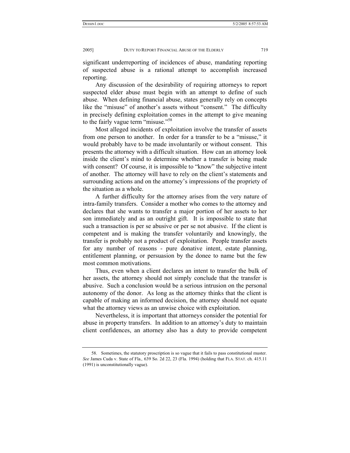significant underreporting of incidences of abuse, mandating reporting of suspected abuse is a rational attempt to accomplish increased reporting.

Any discussion of the desirability of requiring attorneys to report suspected elder abuse must begin with an attempt to define of such abuse. When defining financial abuse, states generally rely on concepts like the "misuse" of another's assets without "consent." The difficulty in precisely defining exploitation comes in the attempt to give meaning to the fairly vague term "misuse."<sup>58</sup>

Most alleged incidents of exploitation involve the transfer of assets from one person to another. In order for a transfer to be a "misuse," it would probably have to be made involuntarily or without consent. This presents the attorney with a difficult situation. How can an attorney look inside the client's mind to determine whether a transfer is being made with consent? Of course, it is impossible to "know" the subjective intent of another. The attorney will have to rely on the client's statements and surrounding actions and on the attorney's impressions of the propriety of the situation as a whole.

A further difficulty for the attorney arises from the very nature of intra-family transfers. Consider a mother who comes to the attorney and declares that she wants to transfer a major portion of her assets to her son immediately and as an outright gift. It is impossible to state that such a transaction is per se abusive or per se not abusive. If the client is competent and is making the transfer voluntarily and knowingly, the transfer is probably not a product of exploitation. People transfer assets for any number of reasons - pure donative intent, estate planning, entitlement planning, or persuasion by the donee to name but the few most common motivations.

Thus, even when a client declares an intent to transfer the bulk of her assets, the attorney should not simply conclude that the transfer is abusive. Such a conclusion would be a serious intrusion on the personal autonomy of the donor. As long as the attorney thinks that the client is capable of making an informed decision, the attorney should not equate what the attorney views as an unwise choice with exploitation.

Nevertheless, it is important that attorneys consider the potential for abuse in property transfers. In addition to an attorney's duty to maintain client confidences, an attorney also has a duty to provide competent

 <sup>58.</sup> Sometimes, the statutory proscription is so vague that it fails to pass constitutional muster. *See* James Cuda v. State of Fla.*,* 639 So. 2d 22, 23 (Fla. 1994) (holding that FLA. STAT. ch. 415.11 (1991) is unconstitutionally vague).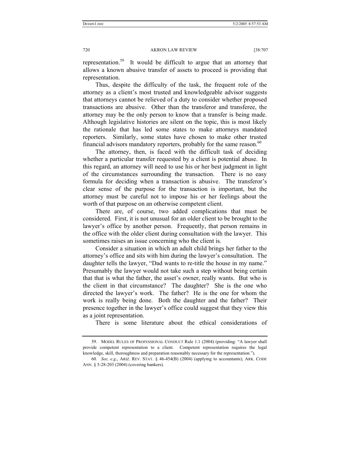representation.<sup>59</sup> It would be difficult to argue that an attorney that allows a known abusive transfer of assets to proceed is providing that representation.

Thus, despite the difficulty of the task, the frequent role of the attorney as a client's most trusted and knowledgeable advisor suggests that attorneys cannot be relieved of a duty to consider whether proposed transactions are abusive. Other than the transferor and transferee, the attorney may be the only person to know that a transfer is being made. Although legislative histories are silent on the topic, this is most likely the rationale that has led some states to make attorneys mandated reporters. Similarly, some states have chosen to make other trusted financial advisors mandatory reporters, probably for the same reason.<sup>60</sup>

The attorney, then, is faced with the difficult task of deciding whether a particular transfer requested by a client is potential abuse. In this regard, an attorney will need to use his or her best judgment in light of the circumstances surrounding the transaction. There is no easy formula for deciding when a transaction is abusive. The transferor's clear sense of the purpose for the transaction is important, but the attorney must be careful not to impose his or her feelings about the worth of that purpose on an otherwise competent client.

There are, of course, two added complications that must be considered. First, it is not unusual for an older client to be brought to the lawyer's office by another person. Frequently, that person remains in the office with the older client during consultation with the lawyer. This sometimes raises an issue concerning who the client is.

Consider a situation in which an adult child brings her father to the attorney's office and sits with him during the lawyer's consultation. The daughter tells the lawyer, "Dad wants to re-title the house in my name." Presumably the lawyer would not take such a step without being certain that that is what the father, the asset's owner, really wants. But who is the client in that circumstance? The daughter? She is the one who directed the lawyer's work. The father? He is the one for whom the work is really being done. Both the daughter and the father? Their presence together in the lawyer's office could suggest that they view this as a joint representation.

There is some literature about the ethical considerations of

 <sup>59.</sup> MODEL RULES OF PROFESSIONAL CONDUCT Rule 1.1 (2004) (providing: "A lawyer shall provide competent representation to a client. Competent representation requires the legal knowledge, skill, thoroughness and preparation reasonably necessary for the representation.").

<sup>60</sup>*. See, e.g*., ARIZ. REV. STAT. § 46-454(B) (2004) (applying to accountants); ARK. CODE ANN. § 5-28-203 (2004) (covering bankers).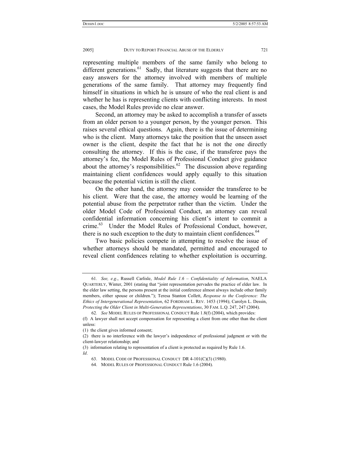representing multiple members of the same family who belong to different generations.<sup>61</sup> Sadly, that literature suggests that there are no easy answers for the attorney involved with members of multiple generations of the same family. That attorney may frequently find himself in situations in which he is unsure of who the real client is and whether he has is representing clients with conflicting interests. In most cases, the Model Rules provide no clear answer.

Second, an attorney may be asked to accomplish a transfer of assets from an older person to a younger person, by the younger person. This raises several ethical questions. Again, there is the issue of determining who is the client. Many attorneys take the position that the unseen asset owner is the client, despite the fact that he is not the one directly consulting the attorney. If this is the case, if the transferee pays the attorney's fee, the Model Rules of Professional Conduct give guidance about the attorney's responsibilities.<sup>62</sup> The discussion above regarding maintaining client confidences would apply equally to this situation because the potential victim is still the client.

On the other hand, the attorney may consider the transferee to be his client. Were that the case, the attorney would be learning of the potential abuse from the perpetrator rather than the victim. Under the older Model Code of Professional Conduct, an attorney can reveal confidential information concerning his client's intent to commit a crime.<sup>63</sup> Under the Model Rules of Professional Conduct, however, there is no such exception to the duty to maintain client confidences.<sup>64</sup>

Two basic policies compete in attempting to resolve the issue of whether attorneys should be mandated, permitted and encouraged to reveal client confidences relating to whether exploitation is occurring.

<sup>61</sup>*. See, e.g*., Russell Carlisle, *Model Rule 1.6 – Confidentiality of Information*, NAELA QUARTERLY, Winter, 2001 (stating that "joint representation pervades the practice of elder law. In the elder law setting, the persons present at the initial conference almost always include other family members, either spouse or children."); Teresa Stanton Collett, *Response to the Conference: The Ethics of Intergenerational Representation*, 62 FORDHAM L. REV. 1453 (1994); Carolyn L. Dessin, *Protecting the Older Client in Multi-Generation Representations*, 30 FAM. L.Q. 247, 247 (2004).

<sup>62</sup>*. See* MODEL RULES OF PROFESSIONAL CONDUCT Rule 1.8(f) (2004), which provides:

<sup>(</sup>f) A lawyer shall not accept compensation for representing a client from one other than the client unless:

<sup>(1)</sup> the client gives informed consent;

<sup>(2)</sup> there is no interference with the lawyer's independence of professional judgment or with the client-lawyer relationship; and

<sup>(3)</sup> information relating to representation of a client is protected as required by Rule 1.6. *Id*.

 <sup>63.</sup> MODEL CODE OF PROFESSIONAL CONDUCT DR 4-101(C)(3) (1980).

 <sup>64.</sup> MODEL RULES OF PROFESSIONAL CONDUCT Rule 1.6 (2004).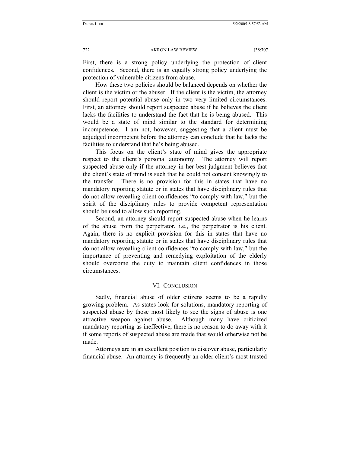First, there is a strong policy underlying the protection of client confidences. Second, there is an equally strong policy underlying the protection of vulnerable citizens from abuse.

How these two policies should be balanced depends on whether the client is the victim or the abuser. If the client is the victim, the attorney should report potential abuse only in two very limited circumstances. First, an attorney should report suspected abuse if he believes the client lacks the facilities to understand the fact that he is being abused. This would be a state of mind similar to the standard for determining incompetence. I am not, however, suggesting that a client must be adjudged incompetent before the attorney can conclude that he lacks the facilities to understand that he's being abused.

This focus on the client's state of mind gives the appropriate respect to the client's personal autonomy. The attorney will report suspected abuse only if the attorney in her best judgment believes that the client's state of mind is such that he could not consent knowingly to the transfer. There is no provision for this in states that have no mandatory reporting statute or in states that have disciplinary rules that do not allow revealing client confidences "to comply with law," but the spirit of the disciplinary rules to provide competent representation should be used to allow such reporting.

Second, an attorney should report suspected abuse when he learns of the abuse from the perpetrator, i.e., the perpetrator is his client. Again, there is no explicit provision for this in states that have no mandatory reporting statute or in states that have disciplinary rules that do not allow revealing client confidences "to comply with law," but the importance of preventing and remedying exploitation of the elderly should overcome the duty to maintain client confidences in those circumstances.

#### VI. CONCLUSION

Sadly, financial abuse of older citizens seems to be a rapidly growing problem. As states look for solutions, mandatory reporting of suspected abuse by those most likely to see the signs of abuse is one attractive weapon against abuse. Although many have criticized mandatory reporting as ineffective, there is no reason to do away with it if some reports of suspected abuse are made that would otherwise not be made.

Attorneys are in an excellent position to discover abuse, particularly financial abuse. An attorney is frequently an older client's most trusted